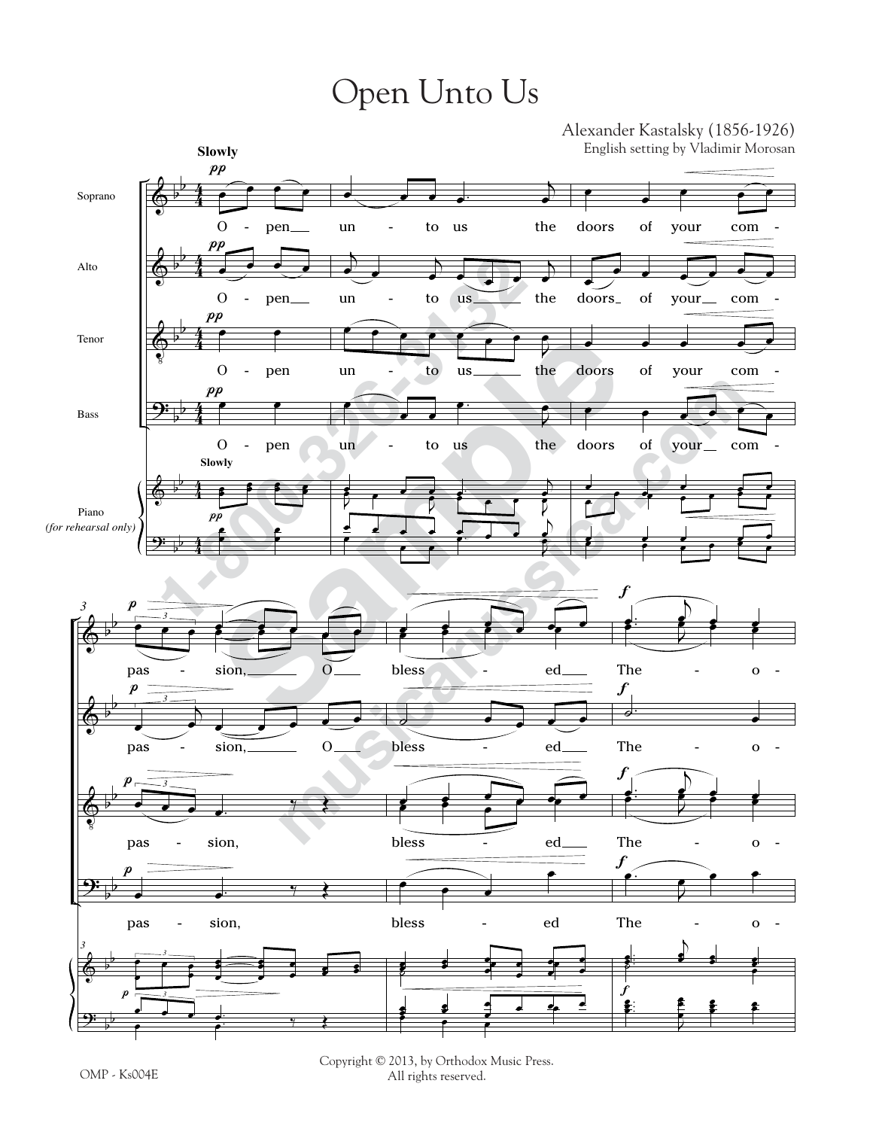## Open Unto Us



Copyright © 2013, by Orthodox Music Press. All rights reserved.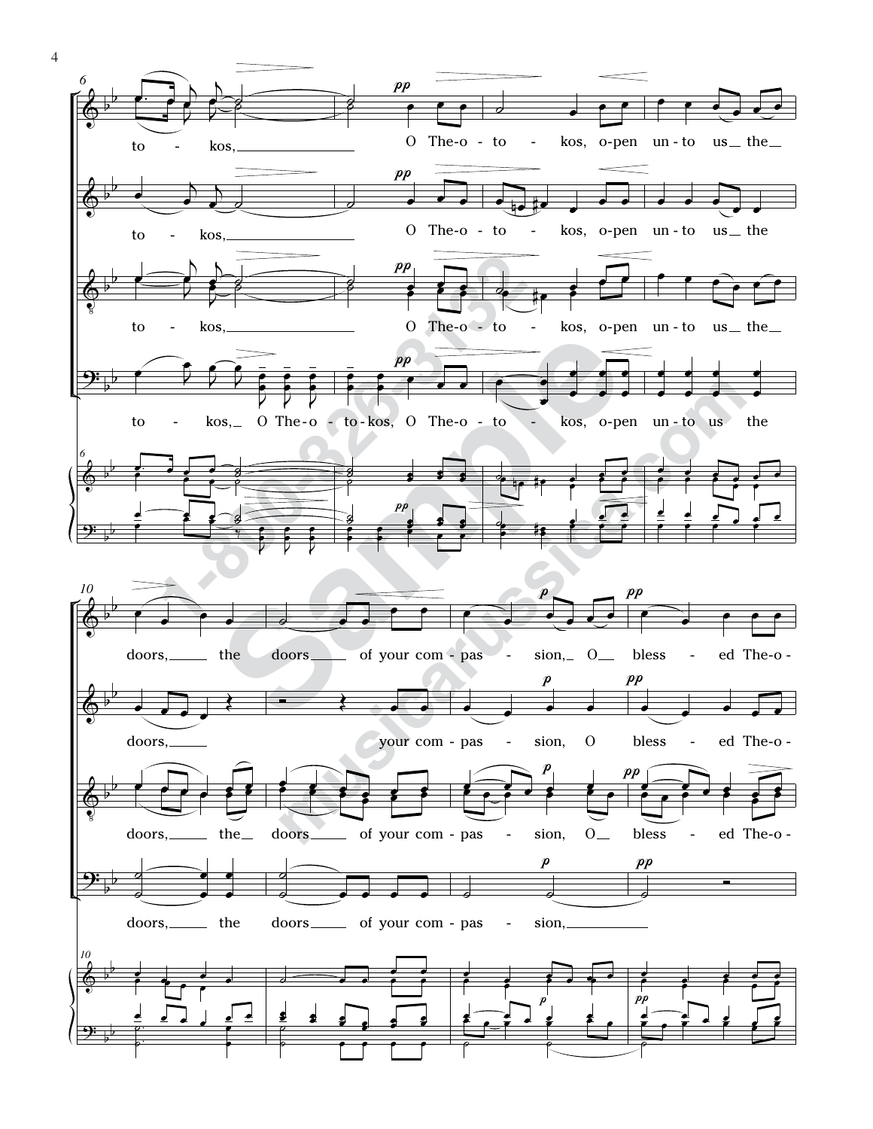

4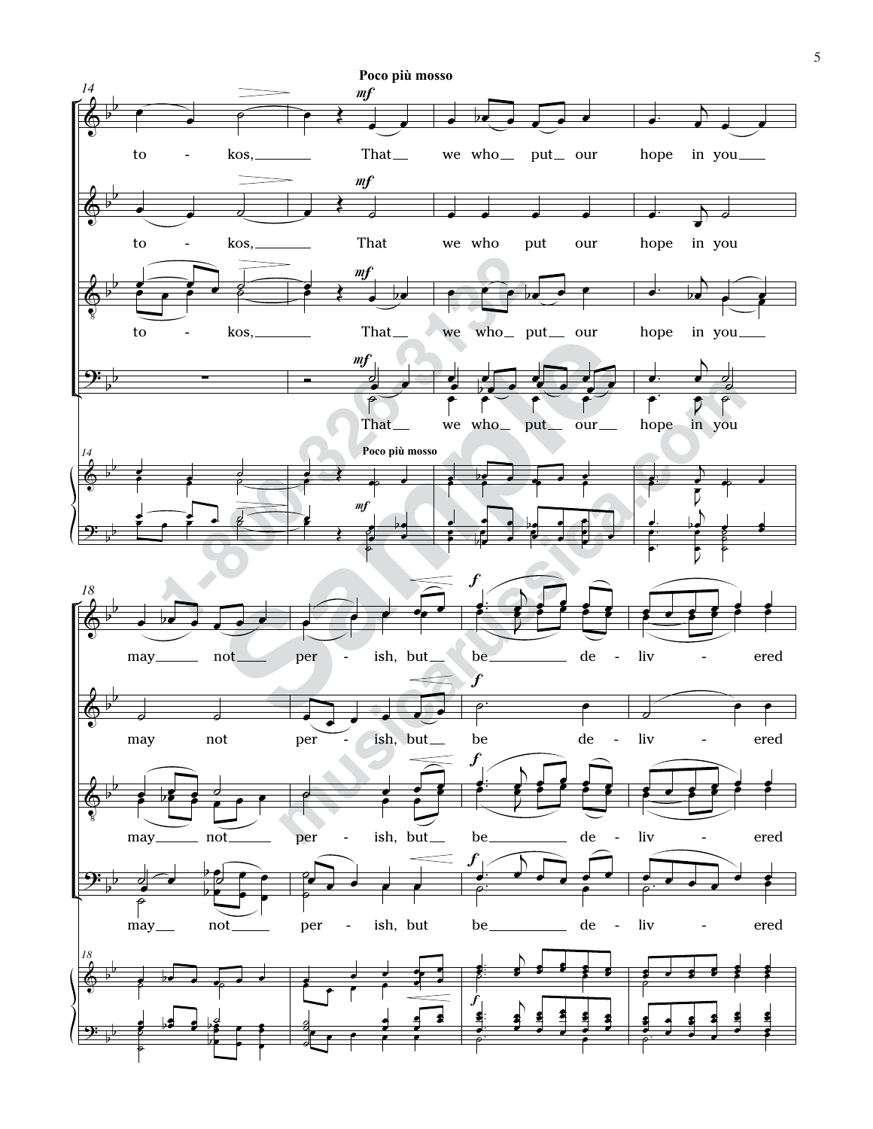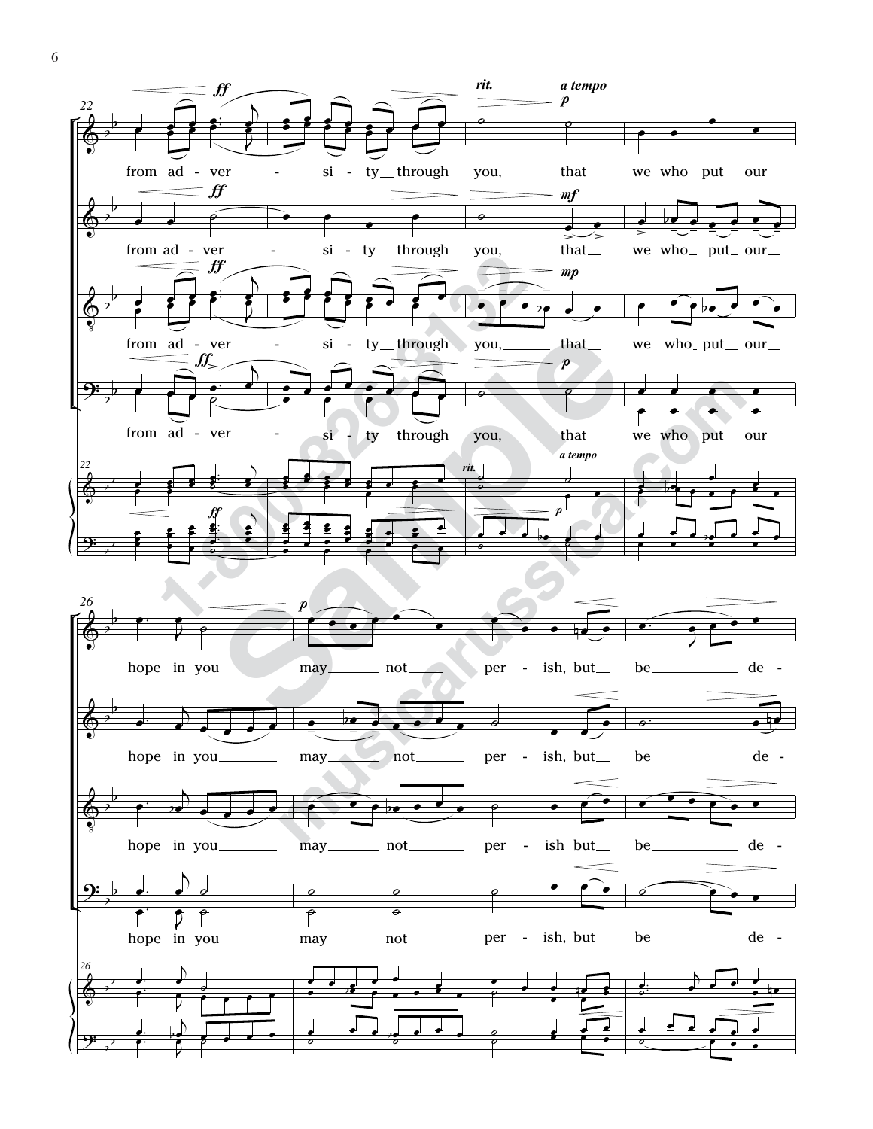

6